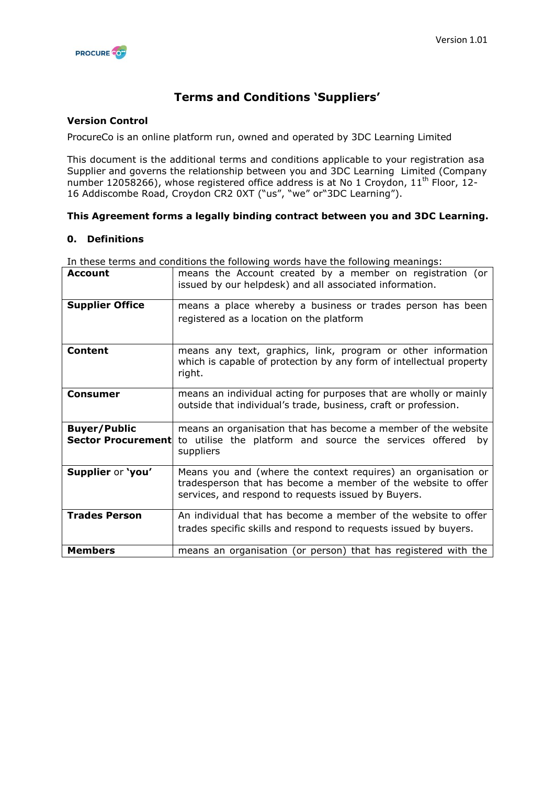

# **Terms and Conditions 'Suppliers'**

# **Version Control**

ProcureCo is an online platform run, owned and operated by 3DC Learning Limited

This document is the additional terms and conditions applicable to your registration asa Supplier and governs the relationship between you and 3DC Learning Limited (Company number 12058266), whose registered office address is at No 1 Croydon, 11<sup>th</sup> Floor, 12-16 Addiscombe Road, Croydon CR2 0XT ("us", "we" or"3DC Learning").

# **This Agreement forms a legally binding contract between you and 3DC Learning.**

#### **0. Definitions**

In these terms and conditions the following words have the following meanings:

| <b>Account</b>                                   | means the Account created by a member on registration (or<br>issued by our helpdesk) and all associated information.                                                                  |
|--------------------------------------------------|---------------------------------------------------------------------------------------------------------------------------------------------------------------------------------------|
| <b>Supplier Office</b>                           | means a place whereby a business or trades person has been<br>registered as a location on the platform                                                                                |
| <b>Content</b>                                   | means any text, graphics, link, program or other information<br>which is capable of protection by any form of intellectual property<br>right.                                         |
| Consumer                                         | means an individual acting for purposes that are wholly or mainly<br>outside that individual's trade, business, craft or profession.                                                  |
| <b>Buyer/Public</b><br><b>Sector Procurement</b> | means an organisation that has become a member of the website<br>to utilise the platform and source the services offered<br>bv<br>suppliers                                           |
| Supplier or 'you'                                | Means you and (where the context requires) an organisation or<br>tradesperson that has become a member of the website to offer<br>services, and respond to requests issued by Buyers. |
| <b>Trades Person</b>                             | An individual that has become a member of the website to offer<br>trades specific skills and respond to requests issued by buyers.                                                    |
| <b>Members</b>                                   | means an organisation (or person) that has registered with the                                                                                                                        |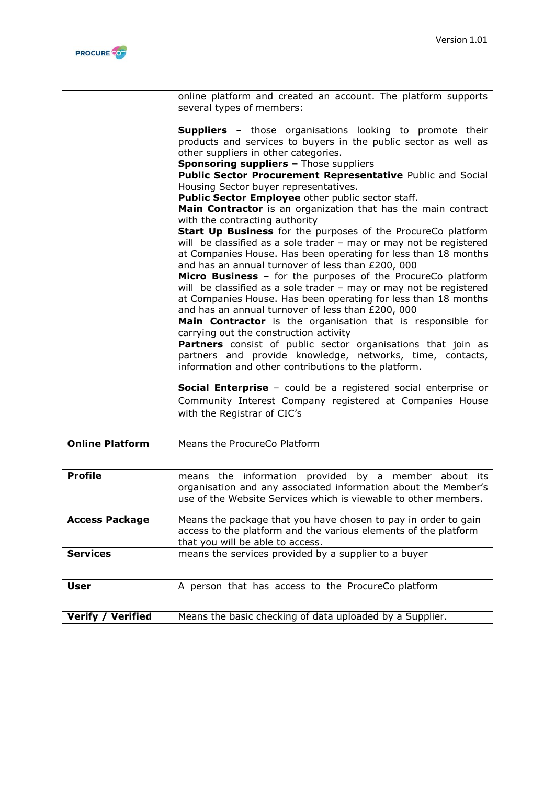

|                          | online platform and created an account. The platform supports<br>several types of members:                                                                                                                                                                                                |
|--------------------------|-------------------------------------------------------------------------------------------------------------------------------------------------------------------------------------------------------------------------------------------------------------------------------------------|
|                          | <b>Suppliers</b> - those organisations looking to promote their<br>products and services to buyers in the public sector as well as<br>other suppliers in other categories.<br><b>Sponsoring suppliers - Those suppliers</b><br>Public Sector Procurement Representative Public and Social |
|                          | Housing Sector buyer representatives.                                                                                                                                                                                                                                                     |
|                          | Public Sector Employee other public sector staff.                                                                                                                                                                                                                                         |
|                          | Main Contractor is an organization that has the main contract                                                                                                                                                                                                                             |
|                          | with the contracting authority                                                                                                                                                                                                                                                            |
|                          | Start Up Business for the purposes of the ProcureCo platform                                                                                                                                                                                                                              |
|                          | will be classified as a sole trader - may or may not be registered<br>at Companies House. Has been operating for less than 18 months<br>and has an annual turnover of less than £200, 000<br>Micro Business - for the purposes of the ProcureCo platform                                  |
|                          | will be classified as a sole trader - may or may not be registered<br>at Companies House. Has been operating for less than 18 months<br>and has an annual turnover of less than £200, 000<br>Main Contractor is the organisation that is responsible for                                  |
|                          | carrying out the construction activity                                                                                                                                                                                                                                                    |
|                          | Partners consist of public sector organisations that join as<br>partners and provide knowledge, networks, time, contacts,<br>information and other contributions to the platform.                                                                                                         |
|                          | <b>Social Enterprise</b> - could be a registered social enterprise or<br>Community Interest Company registered at Companies House<br>with the Registrar of CIC's                                                                                                                          |
|                          | Means the ProcureCo Platform                                                                                                                                                                                                                                                              |
| <b>Online Platform</b>   |                                                                                                                                                                                                                                                                                           |
| <b>Profile</b>           | means the information provided by a member about its<br>organisation and any associated information about the Member's<br>use of the Website Services which is viewable to other members.                                                                                                 |
| <b>Access Package</b>    | Means the package that you have chosen to pay in order to gain                                                                                                                                                                                                                            |
|                          | access to the platform and the various elements of the platform<br>that you will be able to access.                                                                                                                                                                                       |
| <b>Services</b>          | means the services provided by a supplier to a buyer                                                                                                                                                                                                                                      |
| <b>User</b>              | A person that has access to the ProcureCo platform                                                                                                                                                                                                                                        |
|                          |                                                                                                                                                                                                                                                                                           |
| <b>Verify / Verified</b> | Means the basic checking of data uploaded by a Supplier.                                                                                                                                                                                                                                  |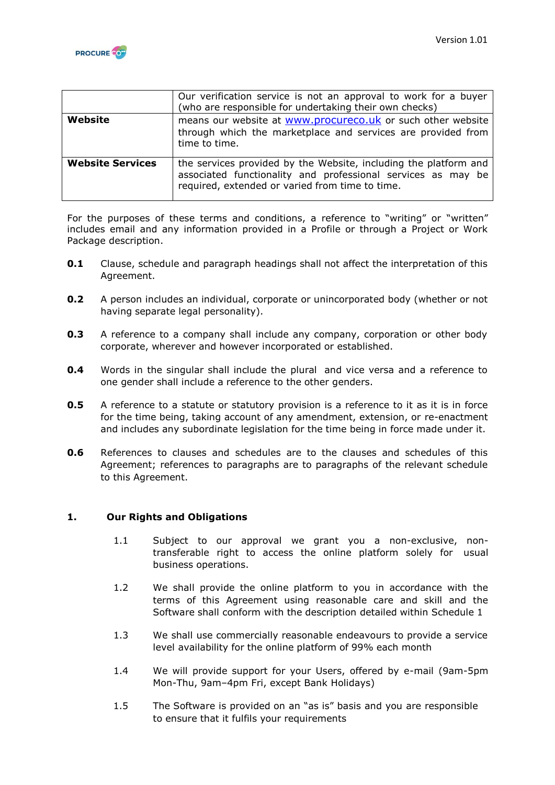

|                         | Our verification service is not an approval to work for a buyer<br>(who are responsible for undertaking their own checks)                                                           |
|-------------------------|-------------------------------------------------------------------------------------------------------------------------------------------------------------------------------------|
| Website                 | means our website at www.procureco.uk or such other website<br>through which the marketplace and services are provided from<br>time to time.                                        |
| <b>Website Services</b> | the services provided by the Website, including the platform and<br>associated functionality and professional services as may be<br>required, extended or varied from time to time. |

For the purposes of these terms and conditions, a reference to "writing" or "written" includes email and any information provided in a Profile or through a Project or Work Package description.

- **0.1** Clause, schedule and paragraph headings shall not affect the interpretation of this Agreement.
- **0.2** A person includes an individual, corporate or unincorporated body (whether or not having separate legal personality).
- **0.3** A reference to a company shall include any company, corporation or other body corporate, wherever and however incorporated or established.
- **0.4** Words in the singular shall include the plural and vice versa and a reference to one gender shall include a reference to the other genders.
- **0.5** A reference to a statute or statutory provision is a reference to it as it is in force for the time being, taking account of any amendment, extension, or re-enactment and includes any subordinate legislation for the time being in force made under it.
- **0.6** References to clauses and schedules are to the clauses and schedules of this Agreement; references to paragraphs are to paragraphs of the relevant schedule to this Agreement.

#### **1. Our Rights and Obligations**

- 1.1 Subject to our approval we grant you a non-exclusive, nontransferable right to access the online platform solely for usual business operations.
- 1.2 We shall provide the online platform to you in accordance with the terms of this Agreement using reasonable care and skill and the Software shall conform with the description detailed within Schedule 1
- 1.3 We shall use commercially reasonable endeavours to provide a service level availability for the online platform of 99% each month
- 1.4 We will provide support for your Users, offered by e-mail (9am-5pm Mon-Thu, 9am–4pm Fri, except Bank Holidays)
- 1.5 The Software is provided on an "as is" basis and you are responsible to ensure that it fulfils your requirements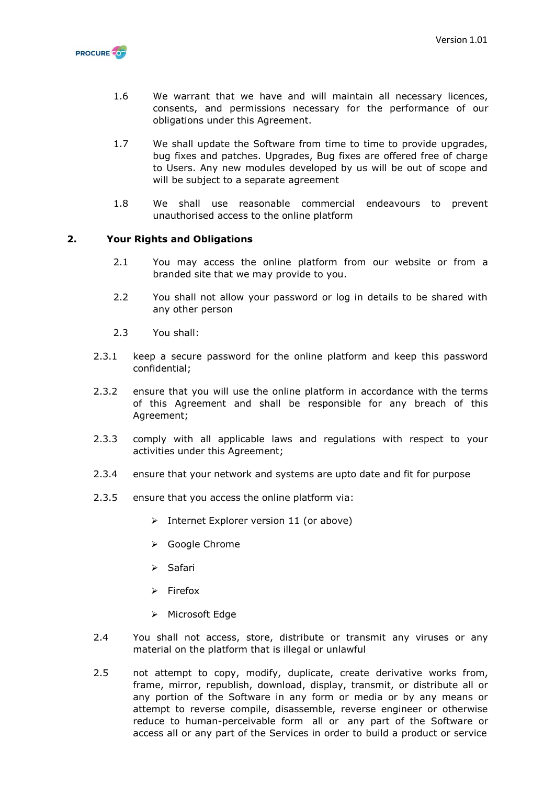

- 1.6 We warrant that we have and will maintain all necessary licences, consents, and permissions necessary for the performance of our obligations under this Agreement.
- 1.7 We shall update the Software from time to time to provide upgrades, bug fixes and patches. Upgrades, Bug fixes are offered free of charge to Users. Any new modules developed by us will be out of scope and will be subject to a separate agreement
- 1.8 We shall use reasonable commercial endeavours to prevent unauthorised access to the online platform

# **2. Your Rights and Obligations**

- 2.1 You may access the online platform from our website or from a branded site that we may provide to you.
- 2.2 You shall not allow your password or log in details to be shared with any other person
- 2.3 You shall:
- 2.3.1 keep a secure password for the online platform and keep this password confidential;
- 2.3.2 ensure that you will use the online platform in accordance with the terms of this Agreement and shall be responsible for any breach of this Agreement;
- 2.3.3 comply with all applicable laws and regulations with respect to your activities under this Agreement;
- 2.3.4 ensure that your network and systems are upto date and fit for purpose
- 2.3.5 ensure that you access the online platform via:
	- $\triangleright$  Internet Explorer version 11 (or above)
	- Google Chrome
	- $\triangleright$  Safari
	- $\triangleright$  Firefox
	- $\triangleright$  Microsoft Edge
- 2.4 You shall not access, store, distribute or transmit any viruses or any material on the platform that is illegal or unlawful
- 2.5 not attempt to copy, modify, duplicate, create derivative works from, frame, mirror, republish, download, display, transmit, or distribute all or any portion of the Software in any form or media or by any means or attempt to reverse compile, disassemble, reverse engineer or otherwise reduce to human-perceivable form all or any part of the Software or access all or any part of the Services in order to build a product or service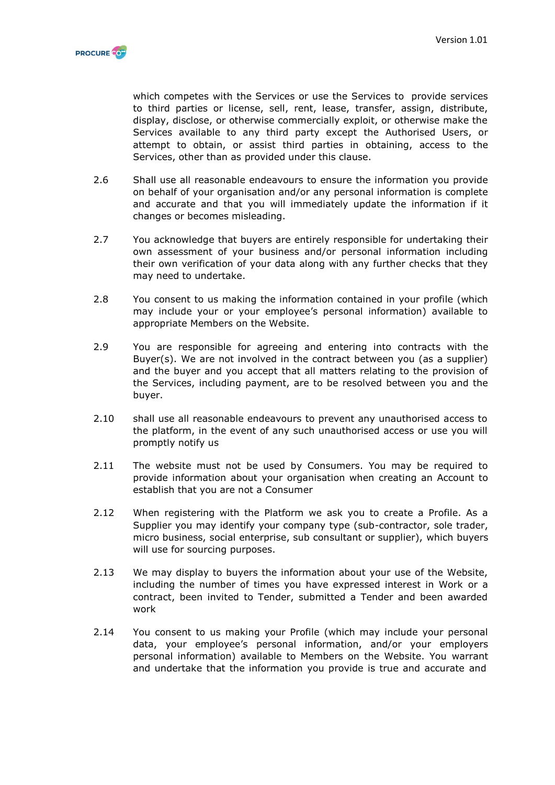

which competes with the Services or use the Services to provide services to third parties or license, sell, rent, lease, transfer, assign, distribute, display, disclose, or otherwise commercially exploit, or otherwise make the Services available to any third party except the Authorised Users, or attempt to obtain, or assist third parties in obtaining, access to the Services, other than as provided under this clause.

- 2.6 Shall use all reasonable endeavours to ensure the information you provide on behalf of your organisation and/or any personal information is complete and accurate and that you will immediately update the information if it changes or becomes misleading.
- 2.7 You acknowledge that buyers are entirely responsible for undertaking their own assessment of your business and/or personal information including their own verification of your data along with any further checks that they may need to undertake.
- 2.8 You consent to us making the information contained in your profile (which may include your or your employee's personal information) available to appropriate Members on the Website.
- 2.9 You are responsible for agreeing and entering into contracts with the Buyer(s). We are not involved in the contract between you (as a supplier) and the buyer and you accept that all matters relating to the provision of the Services, including payment, are to be resolved between you and the buyer.
- 2.10 shall use all reasonable endeavours to prevent any unauthorised access to the platform, in the event of any such unauthorised access or use you will promptly notify us
- 2.11 The website must not be used by Consumers. You may be required to provide information about your organisation when creating an Account to establish that you are not a Consumer
- 2.12 When registering with the Platform we ask you to create a Profile. As a Supplier you may identify your company type (sub-contractor, sole trader, micro business, social enterprise, sub consultant or supplier), which buyers will use for sourcing purposes.
- 2.13 We may display to buyers the information about your use of the Website, including the number of times you have expressed interest in Work or a contract, been invited to Tender, submitted a Tender and been awarded work
- 2.14 You consent to us making your Profile (which may include your personal data, your employee's personal information, and/or your employers personal information) available to Members on the Website. You warrant and undertake that the information you provide is true and accurate and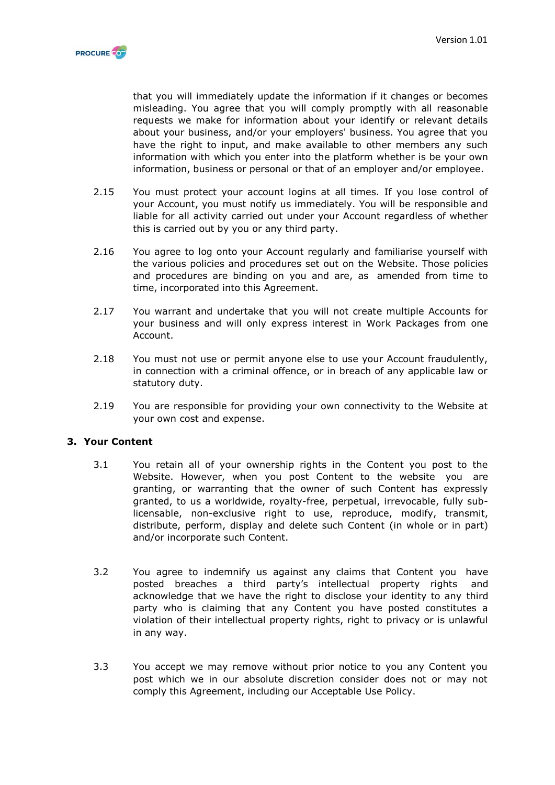

that you will immediately update the information if it changes or becomes misleading. You agree that you will comply promptly with all reasonable requests we make for information about your identify or relevant details about your business, and/or your employers' business. You agree that you have the right to input, and make available to other members any such information with which you enter into the platform whether is be your own information, business or personal or that of an employer and/or employee.

- 2.15 You must protect your account logins at all times. If you lose control of your Account, you must notify us immediately. You will be responsible and liable for all activity carried out under your Account regardless of whether this is carried out by you or any third party.
- 2.16 You agree to log onto your Account regularly and familiarise yourself with the various policies and procedures set out on the Website. Those policies and procedures are binding on you and are, as amended from time to time, incorporated into this Agreement.
- 2.17 You warrant and undertake that you will not create multiple Accounts for your business and will only express interest in Work Packages from one Account.
- 2.18 You must not use or permit anyone else to use your Account fraudulently, in connection with a criminal offence, or in breach of any applicable law or statutory duty.
- 2.19 You are responsible for providing your own connectivity to the Website at your own cost and expense.

#### **3. Your Content**

- 3.1 You retain all of your ownership rights in the Content you post to the Website. However, when you post Content to the website you are granting, or warranting that the owner of such Content has expressly granted, to us a worldwide, royalty-free, perpetual, irrevocable, fully sublicensable, non-exclusive right to use, reproduce, modify, transmit, distribute, perform, display and delete such Content (in whole or in part) and/or incorporate such Content.
- 3.2 You agree to indemnify us against any claims that Content you have posted breaches a third party's intellectual property rights and acknowledge that we have the right to disclose your identity to any third party who is claiming that any Content you have posted constitutes a violation of their intellectual property rights, right to privacy or is unlawful in any way.
- 3.3 You accept we may remove without prior notice to you any Content you post which we in our absolute discretion consider does not or may not comply this Agreement, including our Acceptable Use Policy.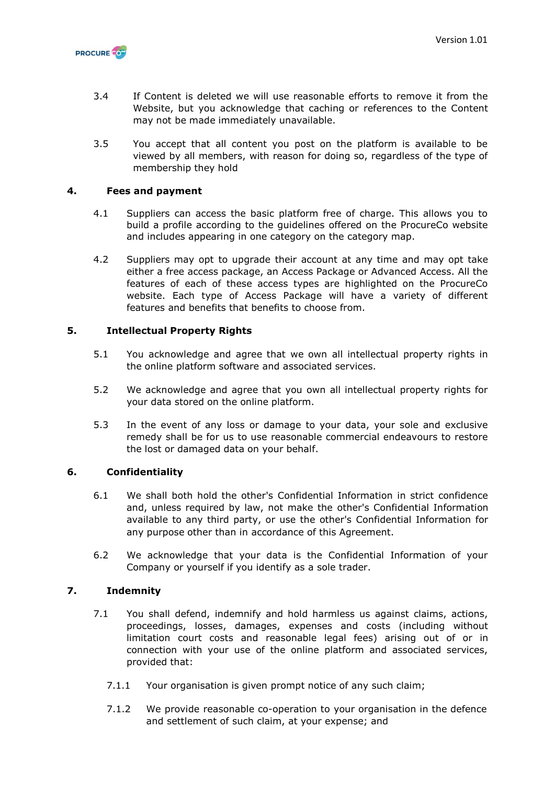

- 3.4 If Content is deleted we will use reasonable efforts to remove it from the Website, but you acknowledge that caching or references to the Content may not be made immediately unavailable.
- 3.5 You accept that all content you post on the platform is available to be viewed by all members, with reason for doing so, regardless of the type of membership they hold

# **4. Fees and payment**

- 4.1 Suppliers can access the basic platform free of charge. This allows you to build a profile according to the guidelines offered on the ProcureCo website and includes appearing in one category on the category map.
- 4.2 Suppliers may opt to upgrade their account at any time and may opt take either a free access package, an Access Package or Advanced Access. All the features of each of these access types are highlighted on the ProcureCo website. Each type of Access Package will have a variety of different features and benefits that benefits to choose from.

# **5. Intellectual Property Rights**

- 5.1 You acknowledge and agree that we own all intellectual property rights in the online platform software and associated services.
- 5.2 We acknowledge and agree that you own all intellectual property rights for your data stored on the online platform.
- 5.3 In the event of any loss or damage to your data, your sole and exclusive remedy shall be for us to use reasonable commercial endeavours to restore the lost or damaged data on your behalf.

# **6. Confidentiality**

- 6.1 We shall both hold the other's Confidential Information in strict confidence and, unless required by law, not make the other's Confidential Information available to any third party, or use the other's Confidential Information for any purpose other than in accordance of this Agreement.
- 6.2 We acknowledge that your data is the Confidential Information of your Company or yourself if you identify as a sole trader.

# **7. Indemnity**

- 7.1 You shall defend, indemnify and hold harmless us against claims, actions, proceedings, losses, damages, expenses and costs (including without limitation court costs and reasonable legal fees) arising out of or in connection with your use of the online platform and associated services, provided that:
	- 7.1.1 Your organisation is given prompt notice of any such claim;
	- 7.1.2 We provide reasonable co-operation to your organisation in the defence and settlement of such claim, at your expense; and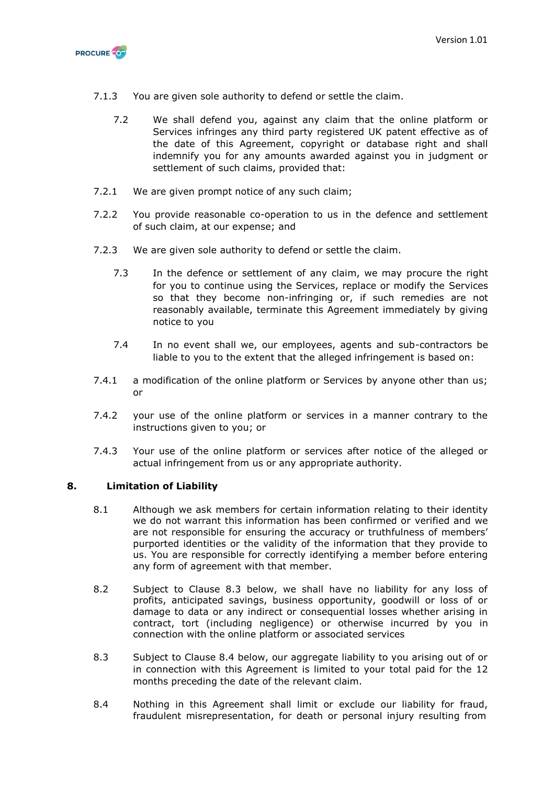

- 7.1.3 You are given sole authority to defend or settle the claim.
	- 7.2 We shall defend you, against any claim that the online platform or Services infringes any third party registered UK patent effective as of the date of this Agreement, copyright or database right and shall indemnify you for any amounts awarded against you in judgment or settlement of such claims, provided that:
- 7.2.1 We are given prompt notice of any such claim;
- 7.2.2 You provide reasonable co-operation to us in the defence and settlement of such claim, at our expense; and
- 7.2.3 We are given sole authority to defend or settle the claim.
	- 7.3 In the defence or settlement of any claim, we may procure the right for you to continue using the Services, replace or modify the Services so that they become non-infringing or, if such remedies are not reasonably available, terminate this Agreement immediately by giving notice to you
	- 7.4 In no event shall we, our employees, agents and sub-contractors be liable to you to the extent that the alleged infringement is based on:
- 7.4.1 a modification of the online platform or Services by anyone other than us; or
- 7.4.2 your use of the online platform or services in a manner contrary to the instructions given to you; or
- 7.4.3 Your use of the online platform or services after notice of the alleged or actual infringement from us or any appropriate authority.

#### **8. Limitation of Liability**

- 8.1 Although we ask members for certain information relating to their identity we do not warrant this information has been confirmed or verified and we are not responsible for ensuring the accuracy or truthfulness of members' purported identities or the validity of the information that they provide to us. You are responsible for correctly identifying a member before entering any form of agreement with that member.
- 8.2 Subject to Clause 8.3 below, we shall have no liability for any loss of profits, anticipated savings, business opportunity, goodwill or loss of or damage to data or any indirect or consequential losses whether arising in contract, tort (including negligence) or otherwise incurred by you in connection with the online platform or associated services
- 8.3 Subject to Clause 8.4 below, our aggregate liability to you arising out of or in connection with this Agreement is limited to your total paid for the 12 months preceding the date of the relevant claim.
- 8.4 Nothing in this Agreement shall limit or exclude our liability for fraud, fraudulent misrepresentation, for death or personal injury resulting from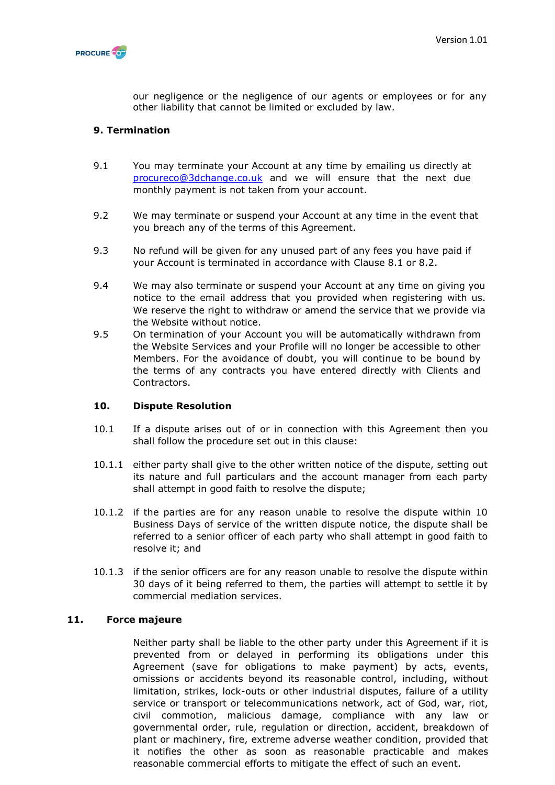

our negligence or the negligence of our agents or employees or for any other liability that cannot be limited or excluded by law.

# **9. Termination**

- 9.1 You may terminate your Account at any time by emailing us directly at [procureco@3dchange.co.uk](mailto:procureco@3dchange.co.uk) and we will ensure that the next due monthly payment is not taken from your account.
- 9.2 We may terminate or suspend your Account at any time in the event that you breach any of the terms of this Agreement.
- 9.3 No refund will be given for any unused part of any fees you have paid if your Account is terminated in accordance with Clause 8.1 or 8.2.
- 9.4 We may also terminate or suspend your Account at any time on giving you notice to the email address that you provided when registering with us. We reserve the right to withdraw or amend the service that we provide via the Website without notice.
- 9.5 On termination of your Account you will be automatically withdrawn from the Website Services and your Profile will no longer be accessible to other Members. For the avoidance of doubt, you will continue to be bound by the terms of any contracts you have entered directly with Clients and Contractors.

#### **10. Dispute Resolution**

- 10.1 If a dispute arises out of or in connection with this Agreement then you shall follow the procedure set out in this clause:
- 10.1.1 either party shall give to the other written notice of the dispute, setting out its nature and full particulars and the account manager from each party shall attempt in good faith to resolve the dispute;
- 10.1.2 if the parties are for any reason unable to resolve the dispute within 10 Business Days of service of the written dispute notice, the dispute shall be referred to a senior officer of each party who shall attempt in good faith to resolve it; and
- 10.1.3 if the senior officers are for any reason unable to resolve the dispute within 30 days of it being referred to them, the parties will attempt to settle it by commercial mediation services.

#### **11. Force majeure**

Neither party shall be liable to the other party under this Agreement if it is prevented from or delayed in performing its obligations under this Agreement (save for obligations to make payment) by acts, events, omissions or accidents beyond its reasonable control, including, without limitation, strikes, lock-outs or other industrial disputes, failure of a utility service or transport or telecommunications network, act of God, war, riot, civil commotion, malicious damage, compliance with any law or governmental order, rule, regulation or direction, accident, breakdown of plant or machinery, fire, extreme adverse weather condition, provided that it notifies the other as soon as reasonable practicable and makes reasonable commercial efforts to mitigate the effect of such an event.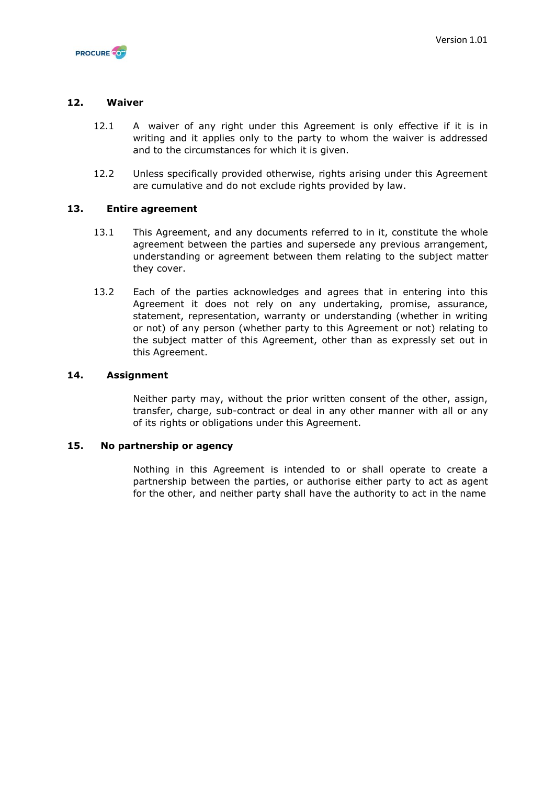

### **12. Waiver**

- 12.1 A waiver of any right under this Agreement is only effective if it is in writing and it applies only to the party to whom the waiver is addressed and to the circumstances for which it is given.
- 12.2 Unless specifically provided otherwise, rights arising under this Agreement are cumulative and do not exclude rights provided by law.

# **13. Entire agreement**

- 13.1 This Agreement, and any documents referred to in it, constitute the whole agreement between the parties and supersede any previous arrangement, understanding or agreement between them relating to the subject matter they cover.
- 13.2 Each of the parties acknowledges and agrees that in entering into this Agreement it does not rely on any undertaking, promise, assurance, statement, representation, warranty or understanding (whether in writing or not) of any person (whether party to this Agreement or not) relating to the subject matter of this Agreement, other than as expressly set out in this Agreement.

#### **14. Assignment**

Neither party may, without the prior written consent of the other, assign, transfer, charge, sub-contract or deal in any other manner with all or any of its rights or obligations under this Agreement.

#### **15. No partnership or agency**

Nothing in this Agreement is intended to or shall operate to create a partnership between the parties, or authorise either party to act as agent for the other, and neither party shall have the authority to act in the name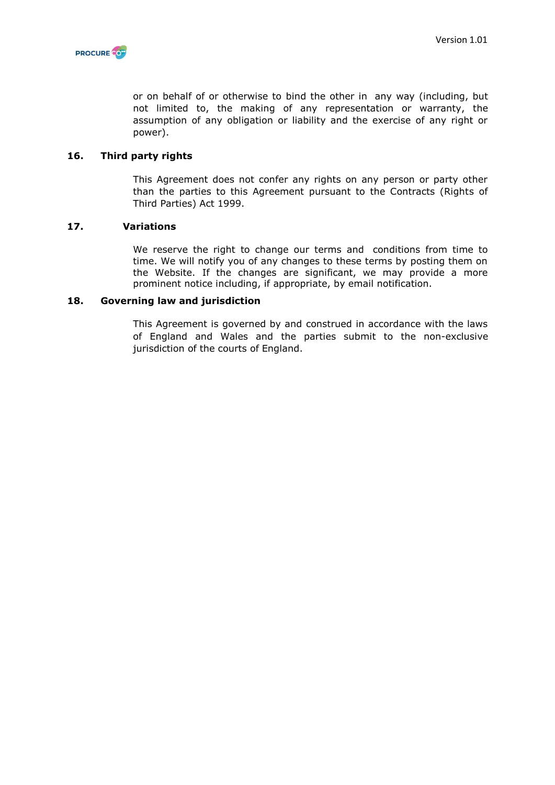

or on behalf of or otherwise to bind the other in any way (including, but not limited to, the making of any representation or warranty, the assumption of any obligation or liability and the exercise of any right or power).

#### **16. Third party rights**

This Agreement does not confer any rights on any person or party other than the parties to this Agreement pursuant to the Contracts (Rights of Third Parties) Act 1999.

#### **17. Variations**

We reserve the right to change our terms and conditions from time to time. We will notify you of any changes to these terms by posting them on the Website. If the changes are significant, we may provide a more prominent notice including, if appropriate, by email notification.

#### **18. Governing law and jurisdiction**

This Agreement is governed by and construed in accordance with the laws of England and Wales and the parties submit to the non-exclusive jurisdiction of the courts of England.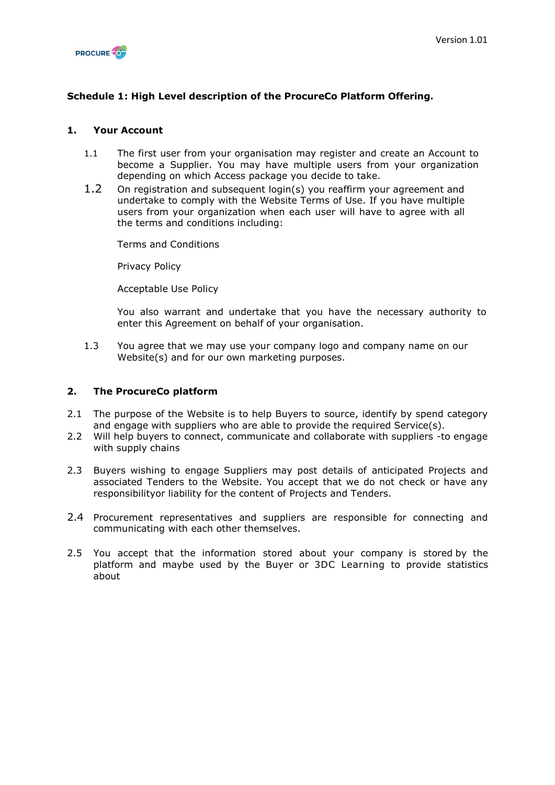

# **Schedule 1: High Level description of the ProcureCo Platform Offering.**

# **1. Your Account**

- 1.1 The first user from your organisation may register and create an Account to become a Supplier. You may have multiple users from your organization depending on which Access package you decide to take.
- 1.2 On registration and subsequent login(s) you reaffirm your agreement and undertake to comply with the Website Terms of Use. If you have multiple users from your organization when each user will have to agree with all the terms and conditions including:

Terms and Conditions

Privacy Policy

Acceptable Use Policy

You also warrant and undertake that you have the necessary authority to enter this Agreement on behalf of your organisation.

1.3 You agree that we may use your company logo and company name on our Website(s) and for our own marketing purposes.

#### **2. The ProcureCo platform**

- 2.1 The purpose of the Website is to help Buyers to source, identify by spend category and engage with suppliers who are able to provide the required Service(s).
- 2.2 Will help buyers to connect, communicate and collaborate with suppliers -to engage with supply chains
- 2.3 Buyers wishing to engage Suppliers may post details of anticipated Projects and associated Tenders to the Website. You accept that we do not check or have any responsibilityor liability for the content of Projects and Tenders.
- 2.4 Procurement representatives and suppliers are responsible for connecting and communicating with each other themselves.
- 2.5 You accept that the information stored about your company is stored by the platform and maybe used by the Buyer or 3DC Learning to provide statistics about